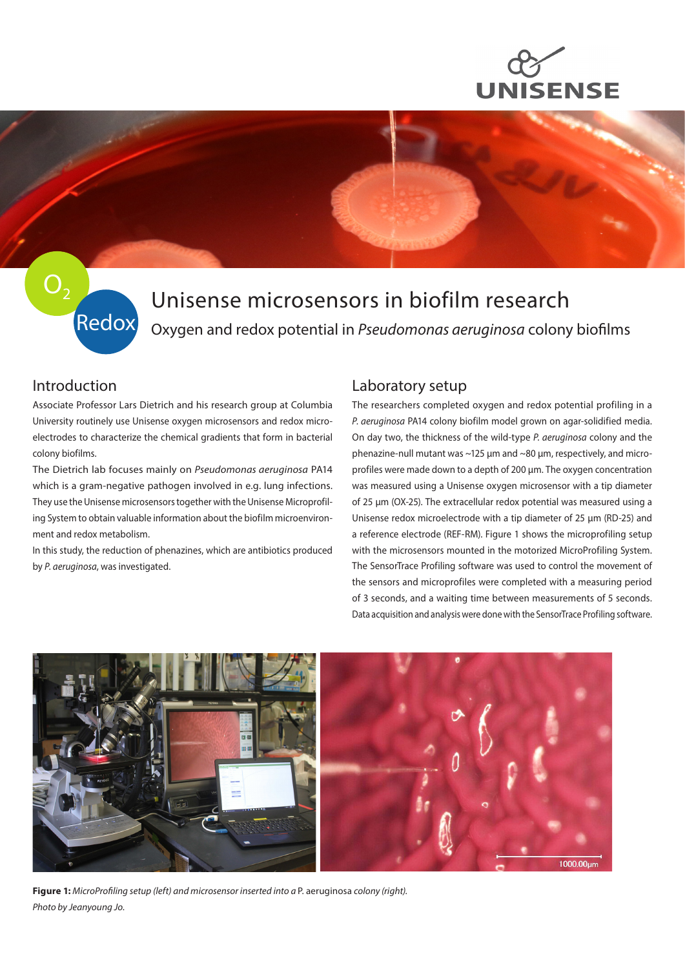



# $O<sub>2</sub>$ Redox

## Unisense microsensors in biofilm research Oxygen and redox potential in *Pseudomonas aeruginosa* colony biofilms

### Introduction

Associate Professor Lars Dietrich and his research group at Columbia University routinely use Unisense oxygen microsensors and redox microelectrodes to characterize the chemical gradients that form in bacterial colony biofilms.

The Dietrich lab focuses mainly on *Pseudomonas aeruginosa* PA14 which is a gram-negative pathogen involved in e.g. lung infections. They use the Unisense microsensors together with the Unisense Microprofiling System to obtain valuable information about the biofilm microenvironment and redox metabolism.

In this study, the reduction of phenazines, which are antibiotics produced by *P. aeruginosa*, was investigated.

### Laboratory setup

The researchers completed oxygen and redox potential profiling in a *P. aeruginosa* PA14 colony biofilm model grown on agar-solidified media. On day two, the thickness of the wild-type *P. aeruginosa* colony and the phenazine-null mutant was ~125 µm and ~80 µm, respectively, and microprofiles were made down to a depth of 200 µm. The oxygen concentration was measured using a Unisense oxygen microsensor with a tip diameter of 25 µm (OX-25). The extracellular redox potential was measured using a Unisense redox microelectrode with a tip diameter of 25 µm (RD-25) and a reference electrode (REF-RM). Figure 1 shows the microprofiling setup with the microsensors mounted in the motorized MicroProfiling System. The SensorTrace Profiling software was used to control the movement of the sensors and microprofiles were completed with a measuring period of 3 seconds, and a waiting time between measurements of 5 seconds. Data acquisition and analysis were done with the SensorTrace Profiling software.



**Figure 1:** *MicroProfiling setup (left) and microsensor inserted into a* P. aeruginosa *colony (right). Photo by Jeanyoung Jo.*